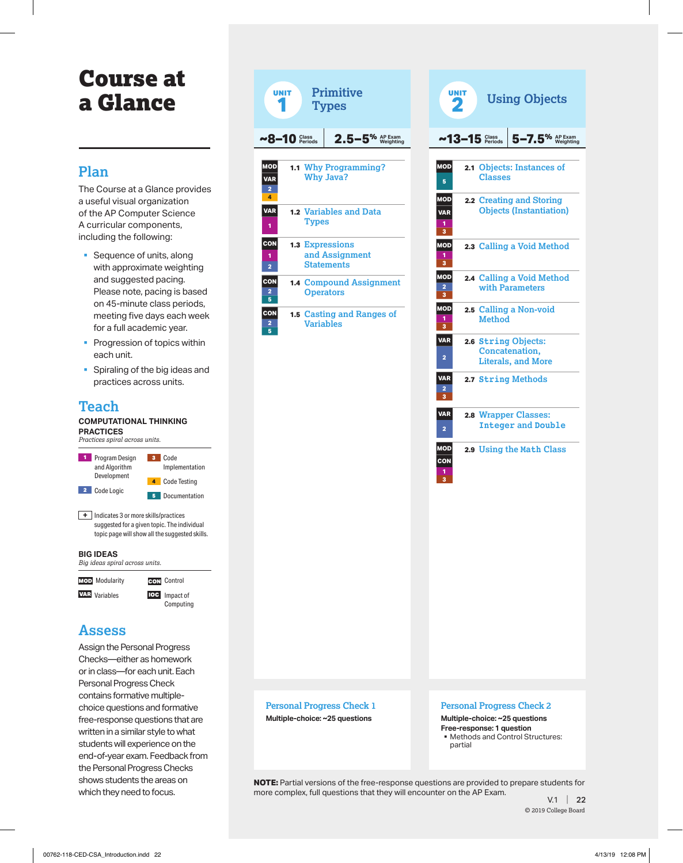# Course at a Glance

### **Plan**

The Course at a Glance provides a useful visual organization of the AP Computer Science A curricular components, including the following:

- § Sequence of units, along with approximate weighting and suggested pacing. Please note, pacing is based on 45-minute class periods, meeting five days each week for a full academic year.
- Progression of topics within each unit.
- § Spiraling of the big ideas and practices across units.

## **Teach**

### **COMPUTATIONAL THINKING**



Computing

### **Assess**

Assign the Personal Progress Checks—either as homework or in class—for each unit. Each Personal Progress Check contains formative multiplechoice questions and formative free-response questions that are written in a similar style to what students will experience on the end-of-year exam. Feedback from the Personal Progress Checks shows students the areas on which they need to focus.

| Primitive<br><b>UNIT</b><br><b>Types</b>       |                  |                                   |  |  |  |
|------------------------------------------------|------------------|-----------------------------------|--|--|--|
|                                                | $\sim8-10$ Class | $2.5 - 5%$ $M_{\text{Neighting}}$ |  |  |  |
|                                                |                  |                                   |  |  |  |
| <b>MOD</b>                                     |                  | 1.1 Why Programming?              |  |  |  |
| <b>VAR</b><br>$\overline{2}$<br>$\overline{A}$ |                  | <b>Why Java?</b>                  |  |  |  |
| <b>VAR</b>                                     |                  | <b>1.2 Variables and Data</b>     |  |  |  |
| 1                                              | <b>Types</b>     |                                   |  |  |  |
| CON                                            | 1.3 Expressions  |                                   |  |  |  |
| 1                                              | and Assignment   |                                   |  |  |  |
| $\overline{2}$                                 |                  | <b>Statements</b>                 |  |  |  |
| <b>CON</b>                                     |                  | <b>1.4 Compound Assignment</b>    |  |  |  |
| $\overline{a}$<br>5                            | <b>Operators</b> |                                   |  |  |  |
| <b>CON</b>                                     |                  | <b>1.5 Casting and Ranges of</b>  |  |  |  |
| $\overline{a}$<br>5                            | <b>Variables</b> |                                   |  |  |  |

| UNIT<br><b>Using Objects</b>                             |                |                |                                                                    |  |                             |
|----------------------------------------------------------|----------------|----------------|--------------------------------------------------------------------|--|-----------------------------|
|                                                          | $~13-15$ Glass |                | $5 - 7.5$ <sup>%</sup>                                             |  | <b>AP Exam</b><br>Veighting |
| <b>MOD</b><br>5                                          | 2.1            | <b>Classes</b> | <b>Objects: Instances of</b>                                       |  |                             |
| <b>MOD</b><br><b>VAR</b><br>1<br>$\overline{\mathbf{3}}$ |                |                | 2.2 Creating and Storing<br><b>Objects (Instantiation)</b>         |  |                             |
| <b>MOD</b><br>1<br>3                                     |                |                | 2.3 Calling a Void Method                                          |  |                             |
| MOD<br>$\overline{a}$<br>з                               |                |                | 2.4 Calling a Void Method<br>with Parameters                       |  |                             |
| <b>MOD</b><br>1<br>3                                     |                | <b>Method</b>  | 2.5 Calling a Non-void                                             |  |                             |
| <b>VAR</b><br>$\overline{a}$                             |                |                | 2.6 String Objects:<br>Concatenation,<br><b>Literals, and More</b> |  |                             |
| <b>VAR</b><br>2<br>3                                     |                |                | 2.7 String Methods                                                 |  |                             |
| <b>VAR</b><br>2                                          |                |                | 2.8 Wrapper Classes:<br><b>Integer and Double</b>                  |  |                             |
| <b>MOD</b><br><b>CON</b><br>ä                            |                |                | 2.9 Using the Math Class                                           |  |                             |

#### **Personal Progress Check 1**

**Multiple-choice: ~25 questions** 

#### **Personal Progress Check 2**

**Multiple-choice: ~25 questions Free-response: 1 question** § Methods and Control Structures: partial

**NOTE:** Partial versions of the free-response questions are provided to prepare students for more complex, full questions that they will encounter on the AP Exam.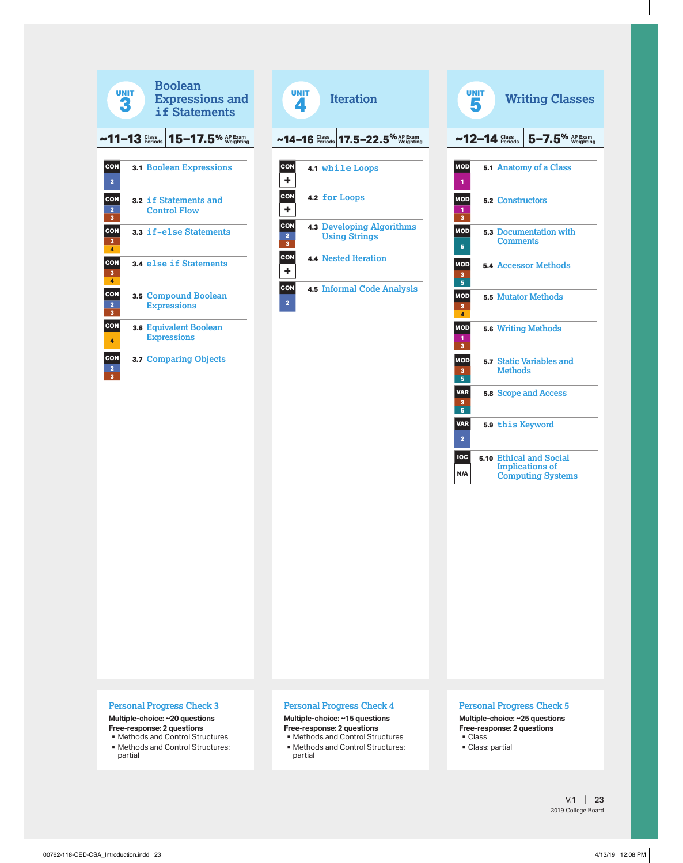





#### **Personal Progress Check 3**

#### **Multiple-choice: ~20 questions Free-response: 2 questions**

- § Methods and Control Structures • Methods and Control Structures:
- partial

#### **Personal Progress Check 4**

#### **Multiple-choice: ~15 questions Free-response: 2 questions**

§ Methods and Control Structures

§ Methods and Control Structures: partial

#### **Personal Progress Check 5**

**Multiple-choice: ~25 questions Free-response: 2 questions** § Class

§ Class: partial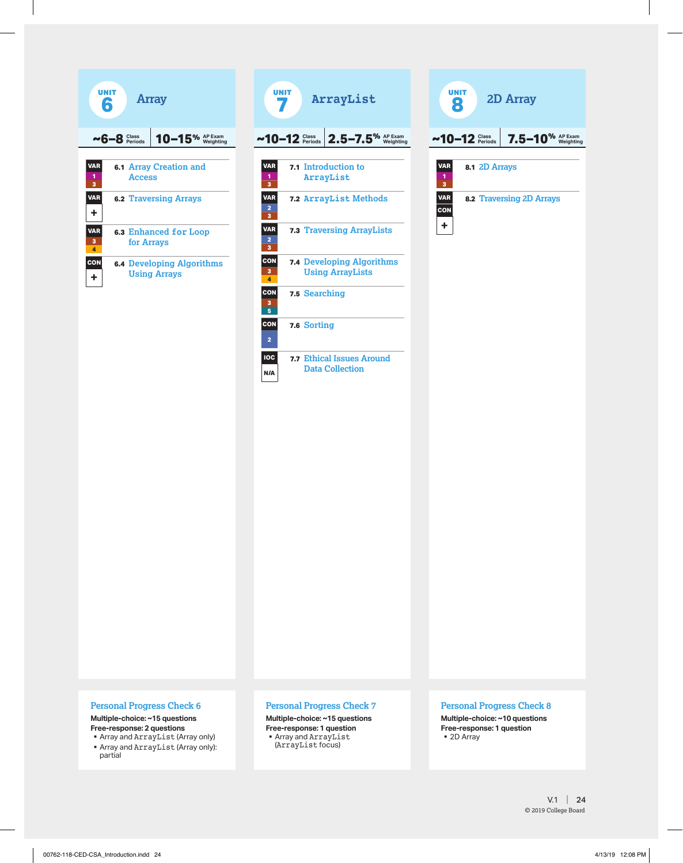



| <b>UNIT</b><br>2D Array<br>8 |  |                                                                |  |  |  |
|------------------------------|--|----------------------------------------------------------------|--|--|--|
| $~10-12$ Class               |  |                                                                |  |  |  |
|                              |  |                                                                |  |  |  |
|                              |  |                                                                |  |  |  |
|                              |  |                                                                |  |  |  |
|                              |  |                                                                |  |  |  |
|                              |  |                                                                |  |  |  |
|                              |  |                                                                |  |  |  |
|                              |  |                                                                |  |  |  |
|                              |  |                                                                |  |  |  |
|                              |  |                                                                |  |  |  |
|                              |  |                                                                |  |  |  |
|                              |  |                                                                |  |  |  |
|                              |  |                                                                |  |  |  |
|                              |  | $7.5-10%$ AP Exam<br>8.1 2D Arrays<br>8.2 Traversing 2D Arrays |  |  |  |

#### **Personal Progress Check 6**

**Multiple-choice: ~15 questions Free-response: 2 questions**

§ Array and ArrayList (Array only) § Array and ArrayList (Array only): partial

#### **Personal Progress Check 7**

**Multiple-choice: ~15 questions Free-response: 1 question** § Array and ArrayList (ArrayList focus)

#### **Personal Progress Check 8**

**Multiple-choice: ~10 questions Free-response: 1 question** ■ 2D Array